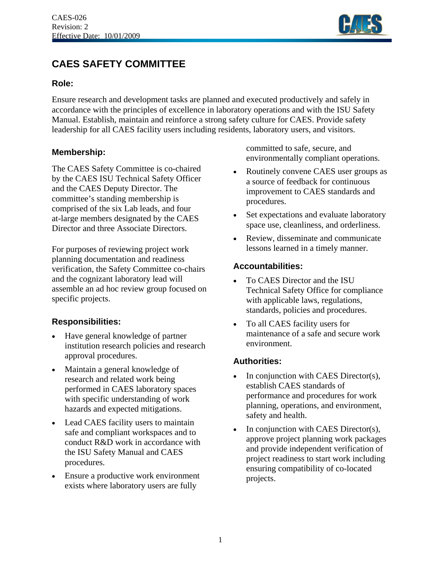

# **CAES SAFETY COMMITTEE**

#### **Role:**

Ensure research and development tasks are planned and executed productively and safely in accordance with the principles of excellence in laboratory operations and with the ISU Safety Manual. Establish, maintain and reinforce a strong safety culture for CAES. Provide safety leadership for all CAES facility users including residents, laboratory users, and visitors.

#### **Membership:**

The CAES Safety Committee is co-chaired by the CAES ISU Technical Safety Officer and the CAES Deputy Director. The committee's standing membership is comprised of the six Lab leads, and four at-large members designated by the CAES Director and three Associate Directors.

For purposes of reviewing project work planning documentation and readiness verification, the Safety Committee co-chairs and the cognizant laboratory lead will assemble an ad hoc review group focused on specific projects.

## **Responsibilities:**

- Have general knowledge of partner institution research policies and research approval procedures.
- Maintain a general knowledge of research and related work being performed in CAES laboratory spaces with specific understanding of work hazards and expected mitigations.
- Lead CAES facility users to maintain safe and compliant workspaces and to conduct R&D work in accordance with the ISU Safety Manual and CAES procedures.
- Ensure a productive work environment exists where laboratory users are fully

committed to safe, secure, and environmentally compliant operations.

- Routinely convene CAES user groups as a source of feedback for continuous improvement to CAES standards and procedures.
- Set expectations and evaluate laboratory space use, cleanliness, and orderliness.
- Review, disseminate and communicate lessons learned in a timely manner.

### **Accountabilities:**

- To CAES Director and the ISU Technical Safety Office for compliance with applicable laws, regulations, standards, policies and procedures.
- To all CAES facility users for maintenance of a safe and secure work environment.

## **Authorities:**

- In conjunction with CAES Director(s), establish CAES standards of performance and procedures for work planning, operations, and environment, safety and health.
- In conjunction with CAES Director(s), approve project planning work packages and provide independent verification of project readiness to start work including ensuring compatibility of co-located projects.